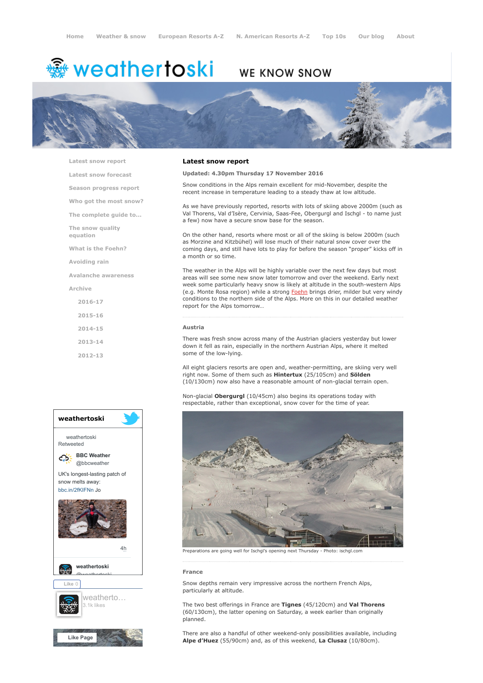# <del>鑾</del> weathertoski

# WE KNOW SNOW



[Latest snow report](https://www.weathertoski.co.uk/weather-snow/latest-snow-report/)

[Latest snow forecast](https://www.weathertoski.co.uk/weather-snow/latest-snow-forecast/)

[Season progress report](https://www.weathertoski.co.uk/weather-snow/season-progress-report/)

[Who got the most snow?](https://www.weathertoski.co.uk/weather-snow/who-got-the-most-snow/)

[The complete guide to...](https://www.weathertoski.co.uk/weather-snow/the-complete-guide-to/)

[The snow quality](https://www.weathertoski.co.uk/weather-snow/the-snow-quality-equation/)

[What is the Foehn?](https://www.weathertoski.co.uk/weather-snow/what-is-the-foehn/)

[Avoiding rain](https://www.weathertoski.co.uk/weather-snow/avoiding-rain/)

equation

[Avalanche awareness](https://www.weathertoski.co.uk/weather-snow/avalanche-awareness/)

[Archive](https://www.weathertoski.co.uk/weather-snow/archive/)

[2016-17](https://www.weathertoski.co.uk/weather-snow/archive/2016-17/) [2015-16](https://www.weathertoski.co.uk/weather-snow/archive/2015-16/) [2014-15](https://www.weathertoski.co.uk/weather-snow/archive/2014-15/)

[2013-14](https://www.weathertoski.co.uk/weather-snow/archive/2013-14/)

[2012-13](https://www.weathertoski.co.uk/weather-snow/archive/2012-13/)



#### Latest snow report

Updated: 4.30pm Thursday 17 November 2016

Snow conditions in the Alps remain excellent for mid-November, despite the recent increase in temperature leading to a steady thaw at low altitude.

As we have previously reported, resorts with lots of skiing above 2000m (such as Val Thorens, Val d'Isère, Cervinia, Saas-Fee, Obergurgl and Ischgl - to name just a few) now have a secure snow base for the season.

On the other hand, resorts where most or all of the skiing is below 2000m (such as Morzine and Kitzbühel) will lose much of their natural snow cover over the coming days, and still have lots to play for before the season "proper" kicks off in a month or so time.

The weather in the Alps will be highly variable over the next few days but most areas will see some new snow later tomorrow and over the weekend. Early next week some particularly heavy snow is likely at altitude in the south-western Alps (e.g. Monte Rosa region) while a strong [Foehn](https://www.weathertoski.co.uk/weather-snow/what-is-the-foehn/) brings drier, milder but very windy conditions to the northern side of the Alps. More on this in our detailed weather report for the Alps tomorrow…

#### Austria

There was fresh snow across many of the Austrian glaciers yesterday but lower down it fell as rain, especially in the northern Austrian Alps, where it melted some of the low-lying.

All eight glaciers resorts are open and, weather-permitting, are skiing very well right now. Some of them such as Hintertux (25/105cm) and Sölden (10/130cm) now also have a reasonable amount of non-glacial terrain open.

Non-glacial Obergurgl (10/45cm) also begins its operations today with respectable, rather than exceptional, snow cover for the time of year.



Preparations are going well for Ischgl's opening next Thursday - Photo: ischgl.com

#### France

Snow depths remain very impressive across the northern French Alps, particularly at altitude.

The two best offerings in France are Tignes (45/120cm) and Val Thorens (60/130cm), the latter opening on Saturday, a week earlier than originally planned.

There are also a handful of other weekend-only possibilities available, including Alpe d'Huez (55/90cm) and, as of this weekend, La Clusaz (10/80cm).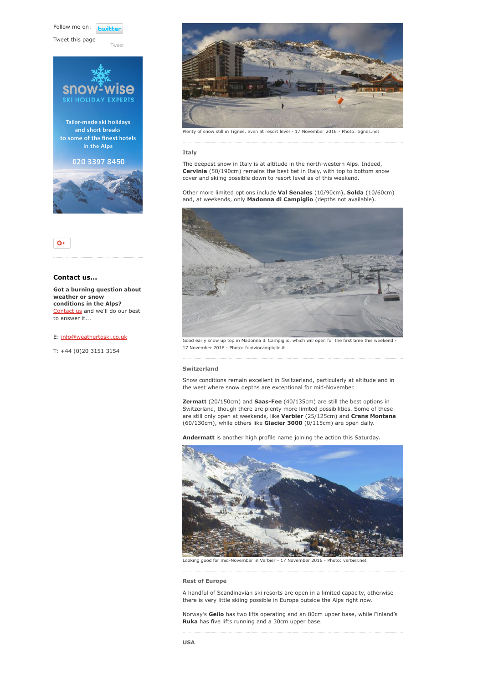Follow me on: **Furibl** 

Tweet this page







### Contact us...

Got a burning question about weather or snow conditions in the Alps? [Contact us](https://www.weathertoski.co.uk/about-1/contact-us/) and we'll do our best to answer it...

#### E: [info@weathertoski.co.uk](mailto:fraser@weathertoski.co.uk)

T: +44 (0)20 3151 3154



Plenty of snow still in Tignes, even at resort level - 17 November 2016 - Photo: tignes.net

#### Italy

The deepest snow in Italy is at altitude in the north-western Alps. Indeed, Cervinia (50/190cm) remains the best bet in Italy, with top to bottom snow cover and skiing possible down to resort level as of this weekend.

Other more limited options include Val Senales (10/90cm), Solda (10/60cm) and, at weekends, only Madonna di Campiglio (depths not available).



Good early snow up top in Madonna di Campiglio, which will open for the first time this weekend - 17 November 2016 - Photo: funiviocampiglio.it

#### Switzerland

Snow conditions remain excellent in Switzerland, particularly at altitude and in the west where snow depths are exceptional for mid-November.

Zermatt (20/150cm) and Saas-Fee (40/135cm) are still the best options in Switzerland, though there are plenty more limited possibilities. Some of these are still only open at weekends, like **Verbier** (25/125cm) and **Crans Montana** (60/130cm), while others like Glacier 3000 (0/115cm) are open daily.

Andermatt is another high profile name joining the action this Saturday.



Looking good for mid-November in Verbier - 17 November 2016 - Photo: verbier.ne

## Rest of Europe

A handful of Scandinavian ski resorts are open in a limited capacity, otherwise there is very little skiing possible in Europe outside the Alps right now.

Norway's Geilo has two lifts operating and an 80cm upper base, while Finland's Ruka has five lifts running and a 30cm upper base.